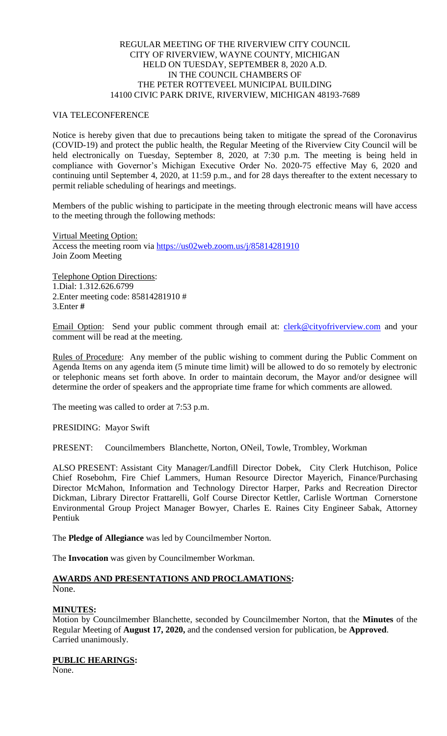# REGULAR MEETING OF THE RIVERVIEW CITY COUNCIL CITY OF RIVERVIEW, WAYNE COUNTY, MICHIGAN HELD ON TUESDAY, SEPTEMBER 8, 2020 A.D. IN THE COUNCIL CHAMBERS OF THE PETER ROTTEVEEL MUNICIPAL BUILDING 14100 CIVIC PARK DRIVE, RIVERVIEW, MICHIGAN 48193-7689

## VIA TELECONFERENCE

Notice is hereby given that due to precautions being taken to mitigate the spread of the Coronavirus (COVID-19) and protect the public health, the Regular Meeting of the Riverview City Council will be held electronically on Tuesday, September 8, 2020, at 7:30 p.m. The meeting is being held in compliance with Governor's Michigan Executive Order No. 2020-75 effective May 6, 2020 and continuing until September 4, 2020, at 11:59 p.m., and for 28 days thereafter to the extent necessary to permit reliable scheduling of hearings and meetings.

Members of the public wishing to participate in the meeting through electronic means will have access to the meeting through the following methods:

Virtual Meeting Option: Access the meeting room via [https://us02web.zoom.us/j/85814281910](https://www.google.com/url?q=https%3A%2F%2Fus02web.zoom.us%2Fj%2F85814281910&sa=D&ust=1599405793021000&usg=AOvVaw1BCc6XxONM_KvikTbECaO2) Join Zoom Meeting

Telephone Option Directions: 1.Dial: 1.312.626.6799 2.Enter meeting code: 85814281910 # 3.Enter **#**

Email Option: Send your public comment through email at: [clerk@cityofriverview.com](mailto:clerk@cityofriverview.com) and your comment will be read at the meeting.

Rules of Procedure: Any member of the public wishing to comment during the Public Comment on Agenda Items on any agenda item (5 minute time limit) will be allowed to do so remotely by electronic or telephonic means set forth above. In order to maintain decorum, the Mayor and/or designee will determine the order of speakers and the appropriate time frame for which comments are allowed.

The meeting was called to order at 7:53 p.m.

PRESIDING: Mayor Swift

PRESENT: Councilmembers Blanchette, Norton, ONeil, Towle, Trombley, Workman

ALSO PRESENT: Assistant City Manager/Landfill Director Dobek, City Clerk Hutchison, Police Chief Rosebohm, Fire Chief Lammers, Human Resource Director Mayerich, Finance/Purchasing Director McMahon, Information and Technology Director Harper, Parks and Recreation Director Dickman, Library Director Frattarelli, Golf Course Director Kettler, Carlisle Wortman Cornerstone Environmental Group Project Manager Bowyer, Charles E. Raines City Engineer Sabak, Attorney Pentiuk

The **Pledge of Allegiance** was led by Councilmember Norton.

The **Invocation** was given by Councilmember Workman.

# **AWARDS AND PRESENTATIONS AND PROCLAMATIONS:** None.

# **MINUTES:**

Motion by Councilmember Blanchette, seconded by Councilmember Norton, that the **Minutes** of the Regular Meeting of **August 17, 2020,** and the condensed version for publication, be **Approved**. Carried unanimously.

**PUBLIC HEARINGS:**

None.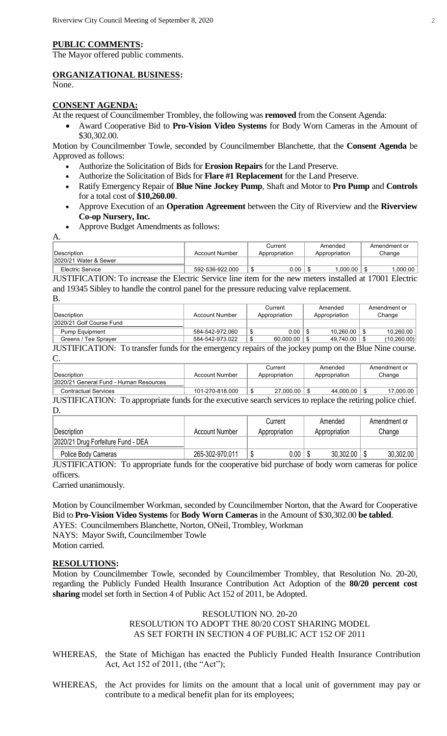#### **PUBLIC COMMENTS:**

The Mayor offered public comments.

## **ORGANIZATIONAL BUSINESS:**

None.

#### **CONSENT AGENDA:**

At the request of Councilmember Trombley, the following was **removed** from the Consent Agenda:

 Award Cooperative Bid to **Pro-Vision Video Systems** for Body Worn Cameras in the Amount of \$30,302.00.

Motion by Councilmember Towle, seconded by Councilmember Blanchette, that the **Consent Agenda** be Approved as follows:

- Authorize the Solicitation of Bids for **Erosion Repairs** for the Land Preserve.
- Authorize the Solicitation of Bids for **Flare #1 Replacement** for the Land Preserve.
- Ratify Emergency Repair of **Blue Nine Jockey Pump**, Shaft and Motor to **Pro Pump** and **Controls**  for a total cost of **\$10,260.00**.
- Approve Execution of an **Operation Agreement** between the City of Riverview and the **Riverview Co-op Nursery, Inc.**
- Approve Budget Amendments as follows:

A.

|                       |                 | Current       | Amended       | Amendment or |
|-----------------------|-----------------|---------------|---------------|--------------|
| Description           | Account Number  | Appropriation | Appropriation | Change       |
| 2020/21 Water & Sewer |                 |               |               |              |
| Electric Service      | 592-536-922.000 | 0.00          | .000.00       | .000.00      |
|                       | .<br>__         | $\sim$        | .             | .            |

JUSTIFICATION: To increase the Electric Service line item for the new meters installed at 17001 Electric and 19345 Sibley to handle the control panel for the pressure reducing valve replacement. B.

| .                        |                 |               |               |              |
|--------------------------|-----------------|---------------|---------------|--------------|
|                          |                 | Current       | Amended       | Amendment or |
| ∣Description_            | Account Number  | Appropriation | Appropriation | Change       |
| 2020/21 Golf Course Fund |                 |               |               |              |
| <b>Pump Equipment</b>    | 584-542-972.060 | 0.00          | 10.260.00     | 10.260.00    |
| Greens / Tee Sprayer     | 584-542-973.022 | 60.000.00     | 49.740.00     | (10, 260.00) |

JUSTIFICATION: To transfer funds for the emergency repairs of the jockey pump on the Blue Nine course. C.

|                                                                                                             |                       | Current          | Amended          | Amendment or |
|-------------------------------------------------------------------------------------------------------------|-----------------------|------------------|------------------|--------------|
| Description                                                                                                 | <b>Account Number</b> | Appropriation    | Appropriation    | Change       |
| 2020/21 General Fund - Human Resources                                                                      |                       |                  |                  |              |
| <b>Contractual Services</b>                                                                                 | 101-270-818.000       | $27.000.00$   \$ | $44.000.00$ \ \$ | 17.000.00    |
| JUSTIFICATION: To appropriate funds for the executive search services to replace the retiring police chief. |                       |                  |                  |              |

D.

|                                    |                       | Current       | Amended       | Amendment or |
|------------------------------------|-----------------------|---------------|---------------|--------------|
| <b>Description</b>                 | <b>Account Number</b> | Appropriation | Appropriation | Change       |
| 2020/21 Drug Forfeiture Fund - DEA |                       |               |               |              |
| Police Body Cameras                | 265-302-970.011       | $0.00\,$      | 30,302.00     | 30,302.00    |

JUSTIFICATION: To appropriate funds for the cooperative bid purchase of body worn cameras for police officers.

Carried unanimously.

Motion by Councilmember Workman, seconded by Councilmember Norton, that the Award for Cooperative Bid to **Pro-Vision Video Systems** for **Body Worn Cameras** in the Amount of \$30,302.00 **be tabled**.

AYES: Councilmembers Blanchette, Norton, ONeil, Trombley, Workman

NAYS: Mayor Swift, Councilmember Towle

Motion carried.

#### **RESOLUTIONS:**

Motion by Councilmember Towle, seconded by Councilmember Trombley, that Resolution No. 20-20, regarding the Publicly Funded Health Insurance Contribution Act Adoption of the **80/20 percent cost sharing** model set forth in Section 4 of Public Act 152 of 2011, be Adopted.

### RESOLUTION NO. 20-20 RESOLUTION TO ADOPT THE 80/20 COST SHARING MODEL AS SET FORTH IN SECTION 4 OF PUBLIC ACT 152 OF 2011

WHEREAS, the State of Michigan has enacted the Publicly Funded Health Insurance Contribution Act, Act 152 of 2011, (the "Act");

WHEREAS, the Act provides for limits on the amount that a local unit of government may pay or contribute to a medical benefit plan for its employees;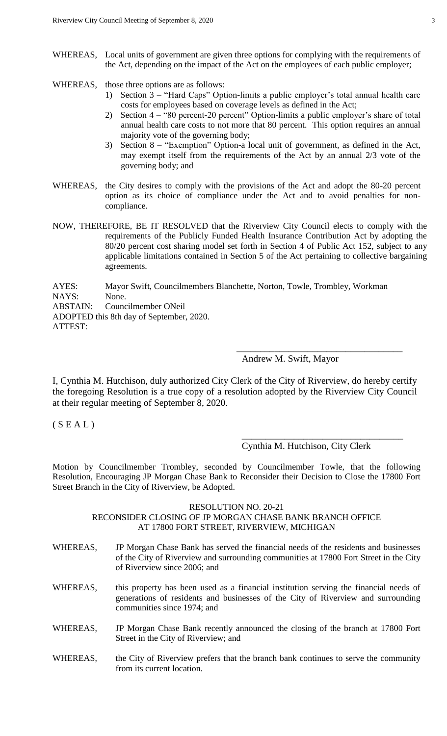- WHEREAS, Local units of government are given three options for complying with the requirements of the Act, depending on the impact of the Act on the employees of each public employer;
- WHEREAS, those three options are as follows:
	- 1) Section 3 "Hard Caps" Option-limits a public employer's total annual health care costs for employees based on coverage levels as defined in the Act;
	- 2) Section 4 "80 percent-20 percent" Option-limits a public employer's share of total annual health care costs to not more that 80 percent. This option requires an annual majority vote of the governing body;
	- 3) Section 8 "Exemption" Option-a local unit of government, as defined in the Act, may exempt itself from the requirements of the Act by an annual 2/3 vote of the governing body; and
- WHEREAS, the City desires to comply with the provisions of the Act and adopt the 80-20 percent option as its choice of compliance under the Act and to avoid penalties for noncompliance.
- NOW, THEREFORE, BE IT RESOLVED that the Riverview City Council elects to comply with the requirements of the Publicly Funded Health Insurance Contribution Act by adopting the 80/20 percent cost sharing model set forth in Section 4 of Public Act 152, subject to any applicable limitations contained in Section 5 of the Act pertaining to collective bargaining agreements.

AYES: Mayor Swift, Councilmembers Blanchette, Norton, Towle, Trombley, Workman NAYS: None.

ABSTAIN: Councilmember ONeil

ADOPTED this 8th day of September, 2020.

ATTEST:

# Andrew M. Swift, Mayor

I, Cynthia M. Hutchison, duly authorized City Clerk of the City of Riverview, do hereby certify the foregoing Resolution is a true copy of a resolution adopted by the Riverview City Council at their regular meeting of September 8, 2020.

 $(S E A L)$ 

Cynthia M. Hutchison, City Clerk

\_\_\_\_\_\_\_\_\_\_\_\_\_\_\_\_\_\_\_\_\_\_\_\_\_\_\_\_\_\_\_\_\_\_

\_\_\_\_\_\_\_\_\_\_\_\_\_\_\_\_\_\_\_\_\_\_\_\_\_\_\_\_\_\_\_\_\_\_\_

Motion by Councilmember Trombley, seconded by Councilmember Towle, that the following Resolution, Encouraging JP Morgan Chase Bank to Reconsider their Decision to Close the 17800 Fort Street Branch in the City of Riverview, be Adopted.

#### RESOLUTION NO. 20-21

# RECONSIDER CLOSING OF JP MORGAN CHASE BANK BRANCH OFFICE AT 17800 FORT STREET, RIVERVIEW, MICHIGAN

- WHEREAS, JP Morgan Chase Bank has served the financial needs of the residents and businesses of the City of Riverview and surrounding communities at 17800 Fort Street in the City of Riverview since 2006; and WHEREAS, this property has been used as a financial institution serving the financial needs of generations of residents and businesses of the City of Riverview and surrounding communities since 1974; and
- WHEREAS, JP Morgan Chase Bank recently announced the closing of the branch at 17800 Fort Street in the City of Riverview; and
- WHEREAS, the City of Riverview prefers that the branch bank continues to serve the community from its current location.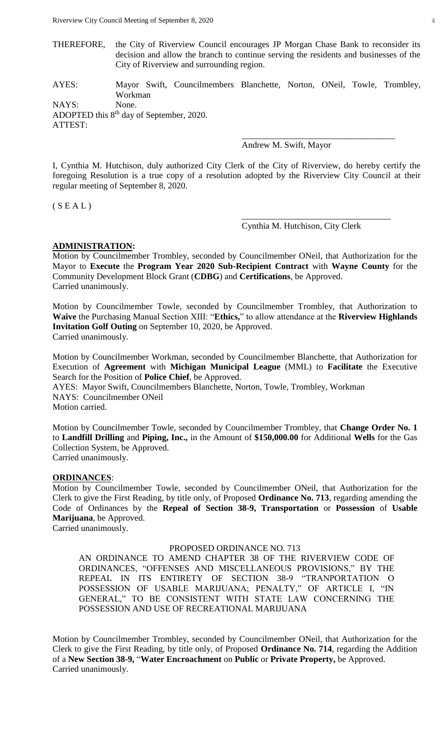- THEREFORE, the City of Riverview Council encourages JP Morgan Chase Bank to reconsider its decision and allow the branch to continue serving the residents and businesses of the City of Riverview and surrounding region.
- AYES: Mayor Swift, Councilmembers Blanchette, Norton, ONeil, Towle, Trombley, Workman

NAYS: None. ADOPTED this 8<sup>th</sup> day of September, 2020. ATTEST:

Andrew M. Swift, Mayor

I, Cynthia M. Hutchison, duly authorized City Clerk of the City of Riverview, do hereby certify the foregoing Resolution is a true copy of a resolution adopted by the Riverview City Council at their regular meeting of September 8, 2020.

 $(S E A L)$ 

Cynthia M. Hutchison, City Clerk

\_\_\_\_\_\_\_\_\_\_\_\_\_\_\_\_\_\_\_\_\_\_\_\_\_\_\_\_\_\_\_\_\_\_

\_\_\_\_\_\_\_\_\_\_\_\_\_\_\_\_\_\_\_\_\_\_\_\_\_\_\_\_\_\_\_\_\_\_\_

#### **ADMINISTRATION:**

Motion by Councilmember Trombley, seconded by Councilmember ONeil, that Authorization for the Mayor to **Execute** the **Program Year 2020 Sub-Recipient Contract** with **Wayne County** for the Community Development Block Grant (**CDBG**) and **Certifications**, be Approved. Carried unanimously.

Motion by Councilmember Towle, seconded by Councilmember Trombley, that Authorization to **Waive** the Purchasing Manual Section XIII: "**Ethics,**" to allow attendance at the **Riverview Highlands Invitation Golf Outing** on September 10, 2020, be Approved. Carried unanimously.

Motion by Councilmember Workman, seconded by Councilmember Blanchette, that Authorization for Execution of **Agreement** with **Michigan Municipal League** (MML) to **Facilitate** the Executive Search for the Position of **Police Chief**, be Approved.

AYES: Mayor Swift, Councilmembers Blanchette, Norton, Towle, Trombley, Workman NAYS: Councilmember ONeil Motion carried.

Motion by Councilmember Towle, seconded by Councilmember Trombley, that **Change Order No. 1** to **Landfill Drilling** and **Piping, Inc.,** in the Amount of **\$150,000.00** for Additional **Wells** for the Gas Collection System, be Approved.

Carried unanimously.

#### **ORDINANCES**:

Motion by Councilmember Towle, seconded by Councilmember ONeil, that Authorization for the Clerk to give the First Reading, by title only, of Proposed **Ordinance No. 713**, regarding amending the Code of Ordinances by the **Repeal of Section 38-9, Transportation** or **Possession** of **Usable Marijuana**, be Approved.

Carried unanimously.

#### PROPOSED ORDINANCE NO. 713

AN ORDINANCE TO AMEND CHAPTER 38 OF THE RIVERVIEW CODE OF ORDINANCES, "OFFENSES AND MISCELLANEOUS PROVISIONS," BY THE REPEAL IN ITS ENTIRETY OF SECTION 38-9 "TRANPORTATION O POSSESSION OF USABLE MARIJUANA; PENALTY," OF ARTICLE I, "IN GENERAL," TO BE CONSISTENT WITH STATE LAW CONCERNING THE POSSESSION AND USE OF RECREATIONAL MARIJUANA

Motion by Councilmember Trombley, seconded by Councilmember ONeil, that Authorization for the Clerk to give the First Reading, by title only, of Proposed **Ordinance No. 714**, regarding the Addition of a **New Section 38-9,** "**Water Encroachment** on **Public** or **Private Property,** be Approved. Carried unanimously.